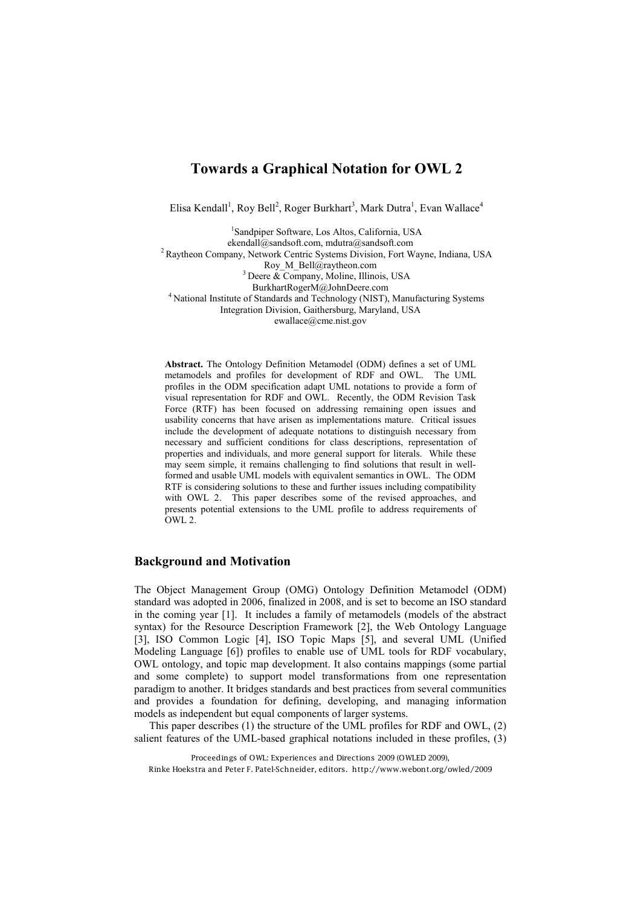# **Towards a Graphical Notation for OWL 2**

Elisa Kendall<sup>1</sup>, Roy Bell<sup>2</sup>, Roger Burkhart<sup>3</sup>, Mark Dutra<sup>1</sup>, Evan Wallace<sup>4</sup>

1 Sandpiper Software, Los Altos, California, USA [ekendall@sandsoft.com,](mailto:ekendall@sandsoft.com) [mdutra@sandsoft.com](mailto:mdutra@sandsoft.com)<br><sup>2</sup> Raytheon Company, Network Centric Systems Division, Fort Wayne, Indiana, USA<br>Roy\_M\_Bell@raytheon.com <sup>3</sup> Deere & Company, Moline, Illinois, USA<br>BurkhartRogerM@JohnDeere.com <sup>4</sup> National Institute of Standards and Technology (NIST), Manufacturing Systems Integration Division, Gaithersburg, Maryland, USA [ewallace@cme.nist.gov](mailto:ewallace@cme.nist.gov)

**Abstract.** The Ontology Definition Metamodel (ODM) defines a set of UML metamodels and profiles for development of RDF and OWL. The UML profiles in the ODM specification adapt UML notations to provide a form of visual representation for RDF and OWL. Recently, the ODM Revision Task Force (RTF) has been focused on addressing remaining open issues and usability concerns that have arisen as implementations mature. Critical issues include the development of adequate notations to distinguish necessary from necessary and sufficient conditions for class descriptions, representation of properties and individuals, and more general support for literals. While these may seem simple, it remains challenging to find solutions that result in wellformed and usable UML models with equivalent semantics in OWL. The ODM RTF is considering solutions to these and further issues including compatibility with OWL 2. This paper describes some of the revised approaches, and presents potential extensions to the UML profile to address requirements of OWL 2.

#### **Background and Motivation**

The Object Management Group (OMG) Ontology Definition Metamodel (ODM) standard was adopted in 2006, finalized in 2008, and is set to become an ISO standard in the coming year [1]. It includes a family of metamodels (models of the abstract syntax) for the Resource Description Framework [2], the Web Ontology Language [3], ISO Common Logic [4], ISO Topic Maps [5], and several UML (Unified Modeling Language [6]) profiles to enable use of UML tools for RDF vocabulary, OWL ontology, and topic map development. It also contains mappings (some partial and some complete) to support model transformations from one representation paradigm to another. It bridges standards and best practices from several communities and provides a foundation for defining, developing, and managing information models as independent but equal components of larger systems.

This paper describes (1) the structure of the UML profiles for RDF and OWL, (2) salient features of the UML-based graphical notations included in these profiles, (3)

Proceedings of OWL: Experiences and Directions 2009 (OWLED 2009), Rinke Hoekstra and Peter F. Patel-Schneider, editors. http://www.webont.org/owled/2009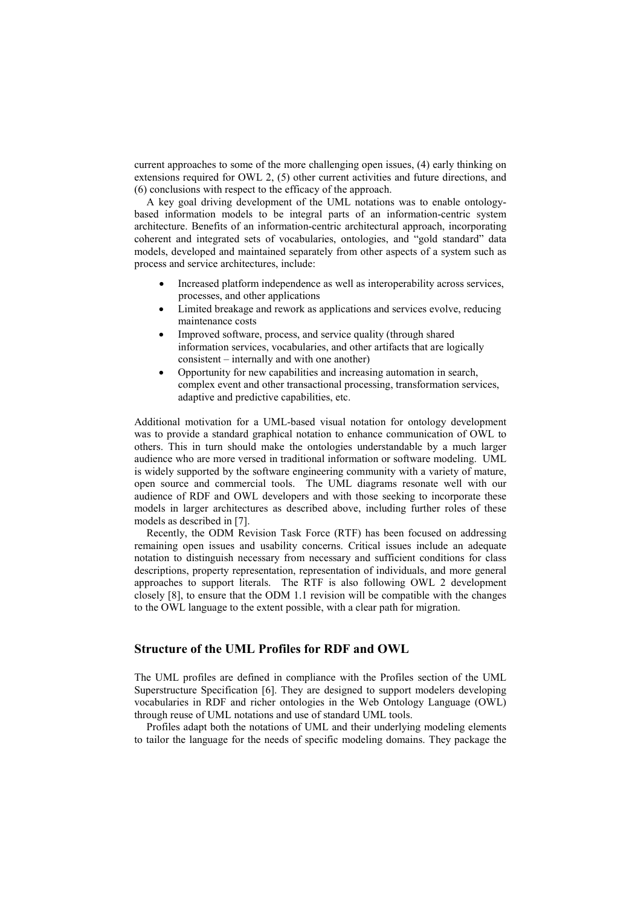current approaches to some of the more challenging open issues, (4) early thinking on extensions required for OWL 2, (5) other current activities and future directions, and (6) conclusions with respect to the efficacy of the approach.

A key goal driving development of the UML notations was to enable ontologybased information models to be integral parts of an information-centric system architecture. Benefits of an information-centric architectural approach, incorporating coherent and integrated sets of vocabularies, ontologies, and "gold standard" data models, developed and maintained separately from other aspects of a system such as process and service architectures, include:

- Increased platform independence as well as interoperability across services, processes, and other applications
- Limited breakage and rework as applications and services evolve, reducing maintenance costs
- Improved software, process, and service quality (through shared information services, vocabularies, and other artifacts that are logically consistent – internally and with one another)
- Opportunity for new capabilities and increasing automation in search, complex event and other transactional processing, transformation services, adaptive and predictive capabilities, etc.

Additional motivation for a UML-based visual notation for ontology development was to provide a standard graphical notation to enhance communication of OWL to others. This in turn should make the ontologies understandable by a much larger audience who are more versed in traditional information or software modeling. UML is widely supported by the software engineering community with a variety of mature, open source and commercial tools. The UML diagrams resonate well with our audience of RDF and OWL developers and with those seeking to incorporate these models in larger architectures as described above, including further roles of these models as described in [7].

Recently, the ODM Revision Task Force (RTF) has been focused on addressing remaining open issues and usability concerns. Critical issues include an adequate notation to distinguish necessary from necessary and sufficient conditions for class descriptions, property representation, representation of individuals, and more general approaches to support literals. The RTF is also following OWL 2 development closely [8], to ensure that the ODM 1.1 revision will be compatible with the changes to the OWL language to the extent possible, with a clear path for migration.

#### **Structure of the UML Profiles for RDF and OWL**

The UML profiles are defined in compliance with the Profiles section of the UML Superstructure Specification [6]. They are designed to support modelers developing vocabularies in RDF and richer ontologies in the Web Ontology Language (OWL) through reuse of UML notations and use of standard UML tools.

Profiles adapt both the notations of UML and their underlying modeling elements to tailor the language for the needs of specific modeling domains. They package the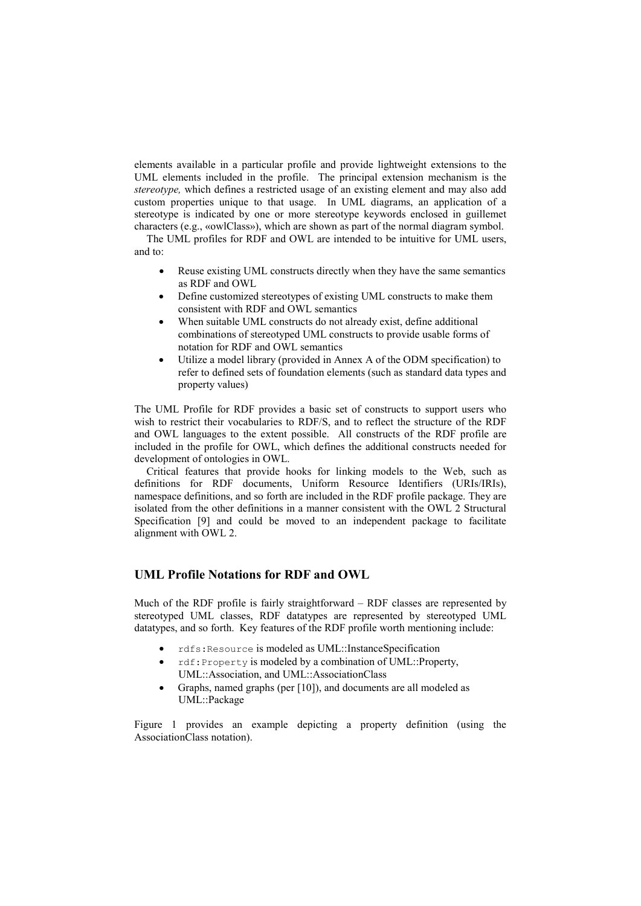elements available in a particular profile and provide lightweight extensions to the UML elements included in the profile. The principal extension mechanism is the *stereotype,* which defines a restricted usage of an existing element and may also add custom properties unique to that usage. In UML diagrams, an application of a stereotype is indicated by one or more stereotype keywords enclosed in guillemet characters (e.g., «owlClass»), which are shown as part of the normal diagram symbol.

The UML profiles for RDF and OWL are intended to be intuitive for UML users, and to:

- Reuse existing UML constructs directly when they have the same semantics as RDF and OWL
- Define customized stereotypes of existing UML constructs to make them consistent with RDF and OWL semantics
- When suitable UML constructs do not already exist, define additional combinations of stereotyped UML constructs to provide usable forms of notation for RDF and OWL semantics
- Utilize a model library (provided in Annex A of the ODM specification) to refer to defined sets of foundation elements (such as standard data types and property values)

The UML Profile for RDF provides a basic set of constructs to support users who wish to restrict their vocabularies to RDF/S, and to reflect the structure of the RDF and OWL languages to the extent possible. All constructs of the RDF profile are included in the profile for OWL, which defines the additional constructs needed for development of ontologies in OWL.

Critical features that provide hooks for linking models to the Web, such as definitions for RDF documents, Uniform Resource Identifiers (URIs/IRIs), namespace definitions, and so forth are included in the RDF profile package. They are isolated from the other definitions in a manner consistent with the OWL 2 Structural Specification [9] and could be moved to an independent package to facilitate alignment with OWL 2.

### **UML Profile Notations for RDF and OWL**

Much of the RDF profile is fairly straightforward – RDF classes are represented by stereotyped UML classes, RDF datatypes are represented by stereotyped UML datatypes, and so forth. Key features of the RDF profile worth mentioning include:

- x rdfs:Resource is modeled as UML::InstanceSpecification
- x rdf:Property is modeled by a combination of UML::Property, UML::Association, and UML::AssociationClass
- Graphs, named graphs (per [10]), and documents are all modeled as UML::Package

Figure 1 provides an example depicting a property definition (using the AssociationClass notation).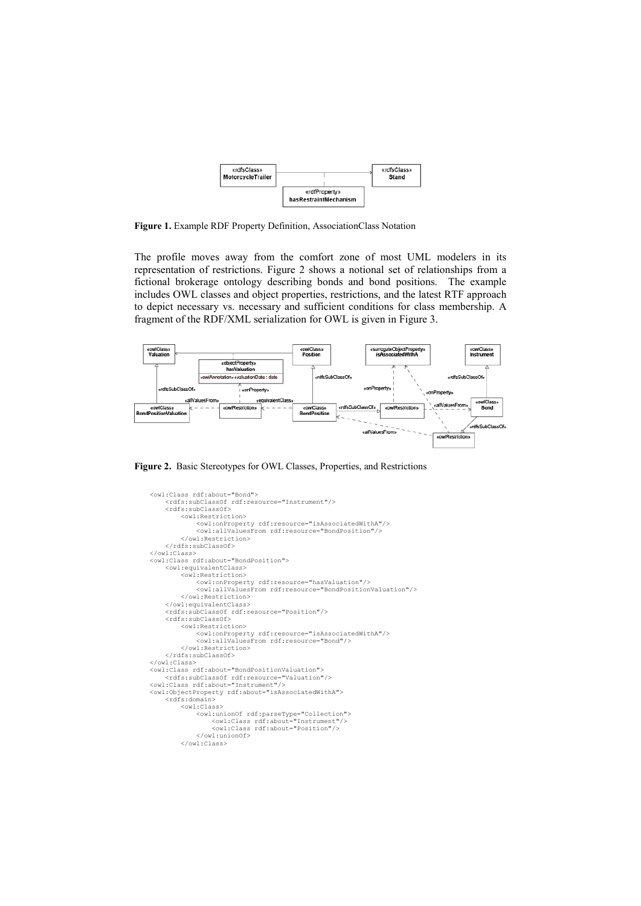| «rdfsClass»<br>MotorcycleTrailer |                                        | «rdfsClass»<br>Stand |
|----------------------------------|----------------------------------------|----------------------|
|                                  | «rdfProperty»<br>hasRestraintMechanism |                      |

**Figure 1.** Example RDF Property Definition, AssociationClass Notation

The profile moves away from the comfort zone of most UML modelers in its representation of restrictions. Figure 2 shows a notional set of relationships from a fictional brokerage ontology describing bonds and bond positions. The example includes OWL classes and object properties, restrictions, and the latest RTF approach to depict necessary vs. necessary and sufficient conditions for class membership. A fragment of the RDF/XML serialization for OWL is given in Figure 3.



**Figure 2.** Basic Stereotypes for OWL Classes, Properties, and Restrictions

```
 <owl:Class rdf:about="Bond">
            <rdfs:subClassOf rdf:resource="Instrument"/>
 <rdfs:subClassOf>
 <owl:Restriction>
 <owl:onProperty rdf:resource="isAssociatedWithA"/>
<owl:allValuesFrom rdf:resource="BondPosition"/>
                  </owl:Restriction>
           \langle/rdfs:subClassOf>
      </owl:Class>
      <owl:Class rdf:about="BondPosition">
            <owl:equivalentClass>
                  <owl:Restriction>
 <owl:onProperty rdf:resource="hasValuation"/>
 <owl:allValuesFrom rdf:resource="BondPositionValuation"/>
                  </owl:Restriction>
            </owl:equivalentClass>
 <rdfs:subClassOf rdf:resource="Position"/>
 <rdfs:subClassOf>
                  <owl:Restriction>
 <owl:onProperty rdf:resource="isAssociatedWithA"/>
 <owl:allValuesFrom rdf:resource="Bond"/>
                  </owl:Restriction>
     </rdfs:subClassOf><br></rdfs:subClassOf>
</owl:Class><br>
<owl:Class rdf:about="BondPositionValuation"/><br>
<crdfs:subClassOf rdf:resource="Valuation"/><br>
<owl:Class rdf:about="Instrument"/><br>
<owl:ObjectProperty rdf:about="isAssociatedWithA">
            <rdfs:domain>
                  <owl:Class>
 <owl:unionOf rdf:parseType="Collection">
 <owl:Class rdf:about="Instrument"/>
<owl:Class rdf:about="Position"/>
                        </owl:unionOf>
                  </owl:Class>
```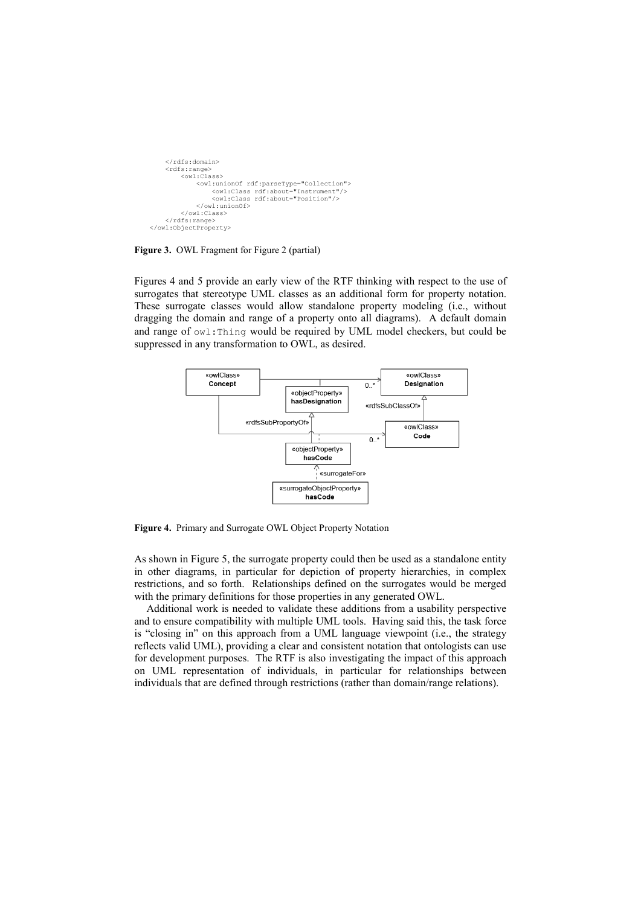```
 </rdfs:domain>
          <rdfs:range>
              <owl:Class>
                  <owl:unionOf rdf:parseType="Collection">
 <owl:Class rdf:about="Instrument"/>
<owl:Class rdf:about="Position"/>
                   </owl:unionOf>
              </owl:Class>
         \langle/rdfs:range>
     </owl:ObjectProperty>
```
**Figure 3.** OWL Fragment for Figure 2 (partial)

Figures 4 and 5 provide an early view of the RTF thinking with respect to the use of surrogates that stereotype UML classes as an additional form for property notation. These surrogate classes would allow standalone property modeling (i.e., without dragging the domain and range of a property onto all diagrams). A default domain and range of owl:Thing would be required by UML model checkers, but could be suppressed in any transformation to OWL, as desired.



**Figure 4.** Primary and Surrogate OWL Object Property Notation

As shown in Figure 5, the surrogate property could then be used as a standalone entity in other diagrams, in particular for depiction of property hierarchies, in complex restrictions, and so forth. Relationships defined on the surrogates would be merged with the primary definitions for those properties in any generated OWL.

Additional work is needed to validate these additions from a usability perspective and to ensure compatibility with multiple UML tools. Having said this, the task force is "closing in" on this approach from a UML language viewpoint (i.e., the strategy reflects valid UML), providing a clear and consistent notation that ontologists can use for development purposes. The RTF is also investigating the impact of this approach on UML representation of individuals, in particular for relationships between individuals that are defined through restrictions (rather than domain/range relations).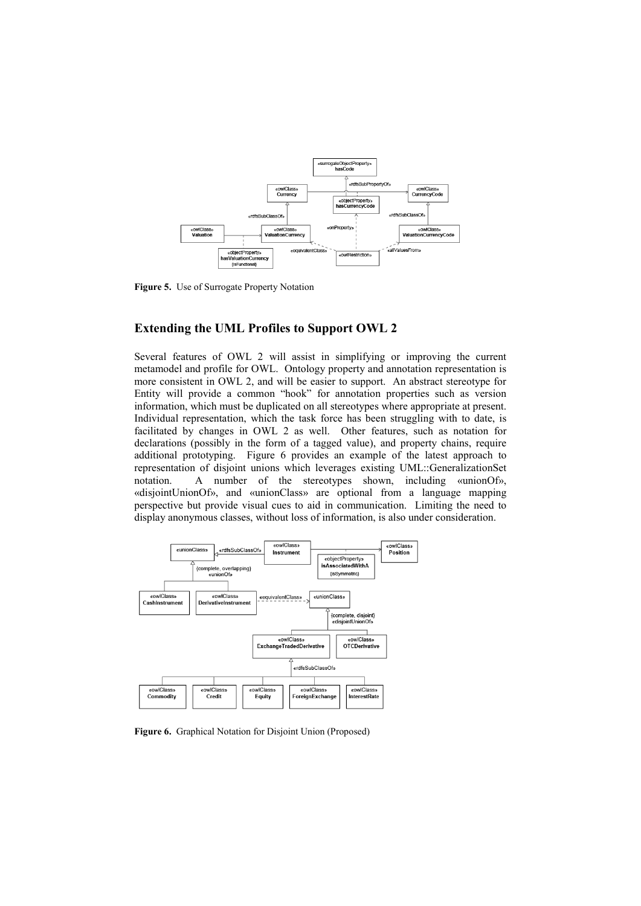

**Figure 5.** Use of Surrogate Property Notation

### **Extending the UML Profiles to Support OWL 2**

Several features of OWL 2 will assist in simplifying or improving the current metamodel and profile for OWL. Ontology property and annotation representation is more consistent in OWL 2, and will be easier to support. An abstract stereotype for Entity will provide a common "hook" for annotation properties such as version information, which must be duplicated on all stereotypes where appropriate at present. Individual representation, which the task force has been struggling with to date, is facilitated by changes in OWL 2 as well. Other features, such as notation for declarations (possibly in the form of a tagged value), and property chains, require additional prototyping. Figure 6 provides an example of the latest approach to representation of disjoint unions which leverages existing UML::GeneralizationSet notation. A number of the stereotypes shown, including «unionOf», «disjointUnionOf», and «unionClass» are optional from a language mapping perspective but provide visual cues to aid in communication. Limiting the need to display anonymous classes, without loss of information, is also under consideration.



**Figure 6.** Graphical Notation for Disjoint Union (Proposed)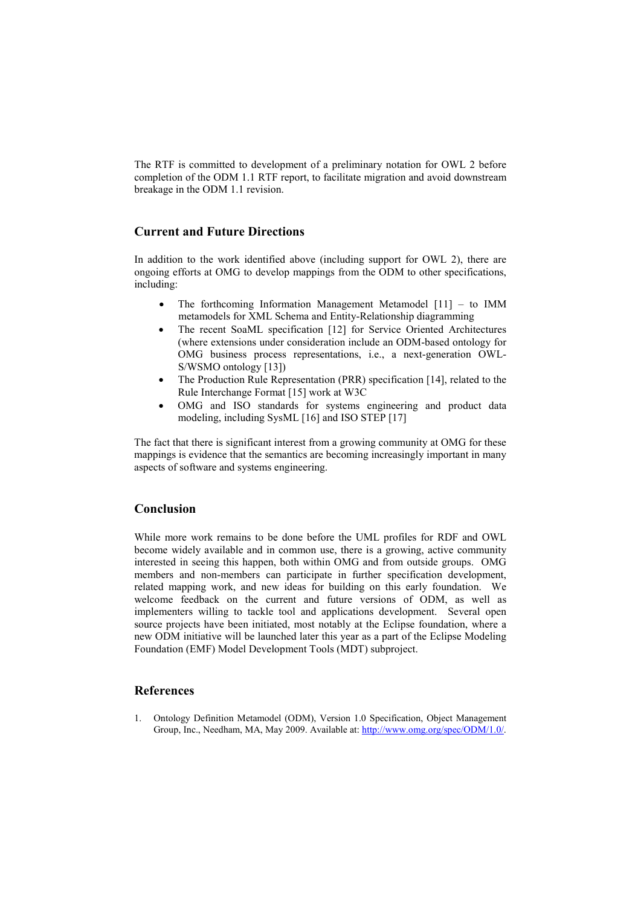The RTF is committed to development of a preliminary notation for OWL 2 before completion of the ODM 1.1 RTF report, to facilitate migration and avoid downstream breakage in the ODM 1.1 revision.

### **Current and Future Directions**

In addition to the work identified above (including support for OWL 2), there are ongoing efforts at OMG to develop mappings from the ODM to other specifications, including:

- The forthcoming Information Management Metamodel  $[11]$  to IMM metamodels for XML Schema and Entity-Relationship diagramming
- The recent SoaML specification [12] for Service Oriented Architectures (where extensions under consideration include an ODM-based ontology for OMG business process representations, i.e., a next-generation OWL-S/WSMO ontology [13])
- The Production Rule Representation (PRR) specification [14], related to the Rule Interchange Format [15] work at W3C
- OMG and ISO standards for systems engineering and product data modeling, including SysML [16] and ISO STEP [17]

The fact that there is significant interest from a growing community at OMG for these mappings is evidence that the semantics are becoming increasingly important in many aspects of software and systems engineering.

## **Conclusion**

While more work remains to be done before the UML profiles for RDF and OWL become widely available and in common use, there is a growing, active community interested in seeing this happen, both within OMG and from outside groups. OMG members and non-members can participate in further specification development, related mapping work, and new ideas for building on this early foundation. We welcome feedback on the current and future versions of ODM, as well as implementers willing to tackle tool and applications development. Several open source projects have been initiated, most notably at the Eclipse foundation, where a new ODM initiative will be launched later this year as a part of the Eclipse Modeling Foundation (EMF) Model Development Tools (MDT) subproject.

#### **References**

1. Ontology Definition Metamodel (ODM), Version 1.0 Specification, Object Management Group, Inc., Needham, MA, May 2009. Available at[: http://www.omg.org/spec/ODM/1.0/.](http://www.omg.org/spec/ODM/1.0/)